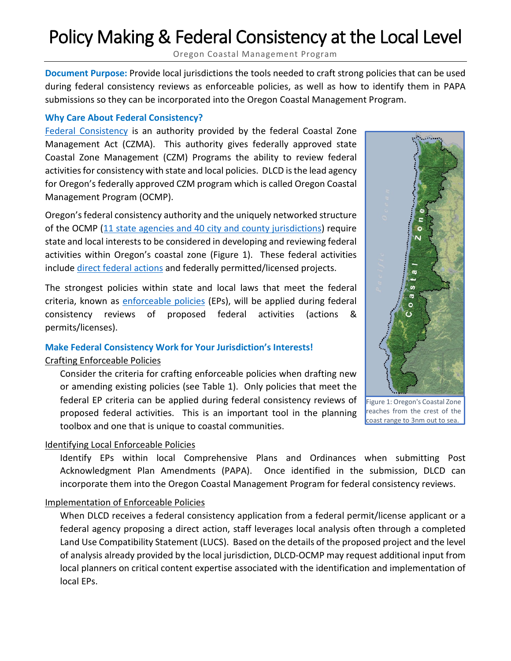# Policy Making & Federal Consistency at the Local Level

Oregon Coastal Management Program

**Document Purpose:** Provide local jurisdictions the tools needed to craft strong policies that can be used during federal consistency reviews as enforceable policies, as well as how to identify them in PAPA submissions so they can be incorporated into the Oregon Coastal Management Program.

### **Why Care About Federal Consistency?**

[Federal Consistency](https://www.oregon.gov/lcd/OCMP/Pages/Federal-Consistency-Explained.aspx) is an authority provided by the federal Coastal Zone Management Act (CZMA). This authority gives federally approved state Coastal Zone Management (CZM) Programs the ability to review federal activities for consistency with state and local policies. DLCD is the lead agency for Oregon's federally approved CZM program which is called Oregon Coastal Management Program (OCMP).

Oregon's federal consistency authority and the uniquely networked structure of the OCMP (11 [state agencies and 40 city and county jurisdictions\)](https://www.oregon.gov/lcd/OCMP/Pages/Coastal-Partners.aspx) require state and local interests to be considered in developing and reviewing federal activities within Oregon's coastal zone (Figure 1). These federal activities include [direct federal actions](https://www.oregon.gov/lcd/OCMP/Pages/Federal-Action.aspx) and [federally permitted/licensed](https://www.oregon.gov/lcd/OCMP/Pages/Federal-Permit.aspx) projects.

The strongest policies within state and local laws that meet the federal criteria, known as [enforceable policies](https://www.oregon.gov/lcd/OCMP/Pages/Enforceable-Policies.aspx) (EPs), will be applied during federal consistency reviews of proposed federal activities (actions & permits/licenses).

### **Make Federal Consistency Work for Your Jurisdiction's Interests!** Crafting Enforceable Policies

Consider the criteria for crafting enforceable policies when drafting new or amending existing policies (see Table 1). Only policies that meet the federal EP criteria can be applied during federal consistency reviews of proposed federal activities. This is an important tool in the planning toolbox and one that is unique to coastal communities.

# Identifying Local Enforceable Policies

Identify EPs within local Comprehensive Plans and Ordinances when submitting Post Acknowledgment Plan Amendments (PAPA). Once identified in the submission, DLCD can incorporate them into the Oregon Coastal Management Program for federal consistency reviews.

# Implementation of Enforceable Policies

When DLCD receives a federal consistency application from a federal permit/license applicant or a federal agency proposing a direct action, staff leverages local analysis often through a completed Land Use Compatibility Statement (LUCS). Based on the details of the proposed project and the level of analysis already provided by the local jurisdiction, DLCD-OCMP may request additional input from local planners on critical content expertise associated with the identification and implementation of local EPs.



Figure 1: Oregon's Coastal Zone reaches from the crest of the coast range to 3nm out to sea.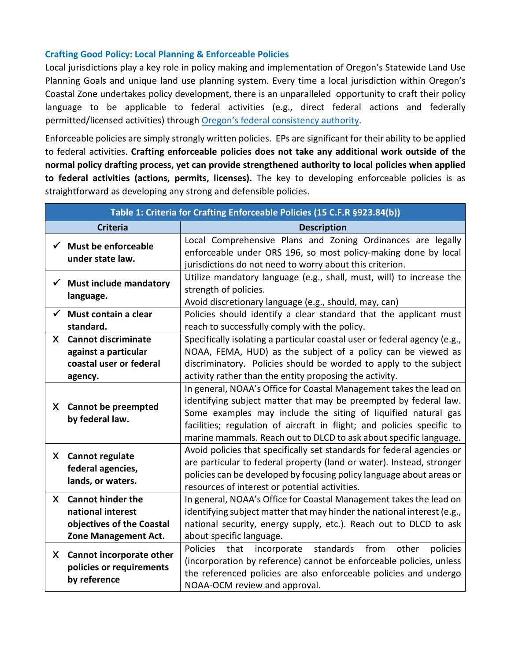### **Crafting Good Policy: Local Planning & Enforceable Policies**

Local jurisdictions play a key role in policy making and implementation of Oregon's Statewide Land Use Planning Goals and unique land use planning system. Every time a local jurisdiction within Oregon's Coastal Zone undertakes policy development, there is an unparalleled opportunity to craft their policy language to be applicable to federal activities (e.g., direct federal actions and federally permitted/licensed activities) through [Oregon's federal consistency authority.](https://www.oregon.gov/lcd/OCMP/Pages/Federal-Consistency-Explained.aspx)

Enforceable policies are simply strongly written policies. EPs are significant for their ability to be applied to federal activities. **Crafting enforceable policies does not take any additional work outside of the normal policy drafting process, yet can provide strengthened authority to local policies when applied to federal activities (actions, permits, licenses).** The key to developing enforceable policies is as straightforward as developing any strong and defensible policies.

| Table 1: Criteria for Crafting Enforceable Policies (15 C.F.R §923.84(b)) |                                                                                               |                                                                                                                                                                                                                                                                                                                                                        |
|---------------------------------------------------------------------------|-----------------------------------------------------------------------------------------------|--------------------------------------------------------------------------------------------------------------------------------------------------------------------------------------------------------------------------------------------------------------------------------------------------------------------------------------------------------|
|                                                                           | <b>Criteria</b>                                                                               | <b>Description</b>                                                                                                                                                                                                                                                                                                                                     |
|                                                                           | $\checkmark$ Must be enforceable<br>under state law.                                          | Local Comprehensive Plans and Zoning Ordinances are legally<br>enforceable under ORS 196, so most policy-making done by local<br>jurisdictions do not need to worry about this criterion.                                                                                                                                                              |
|                                                                           | <b>Must include mandatory</b><br>language.                                                    | Utilize mandatory language (e.g., shall, must, will) to increase the<br>strength of policies.<br>Avoid discretionary language (e.g., should, may, can)                                                                                                                                                                                                 |
|                                                                           | Must contain a clear<br>standard.                                                             | Policies should identify a clear standard that the applicant must<br>reach to successfully comply with the policy.                                                                                                                                                                                                                                     |
|                                                                           | X Cannot discriminate                                                                         | Specifically isolating a particular coastal user or federal agency (e.g.,                                                                                                                                                                                                                                                                              |
|                                                                           | against a particular                                                                          | NOAA, FEMA, HUD) as the subject of a policy can be viewed as                                                                                                                                                                                                                                                                                           |
|                                                                           | coastal user or federal                                                                       | discriminatory. Policies should be worded to apply to the subject                                                                                                                                                                                                                                                                                      |
|                                                                           | agency.                                                                                       | activity rather than the entity proposing the activity.                                                                                                                                                                                                                                                                                                |
| X.                                                                        | <b>Cannot be preempted</b><br>by federal law.                                                 | In general, NOAA's Office for Coastal Management takes the lead on<br>identifying subject matter that may be preempted by federal law.<br>Some examples may include the siting of liquified natural gas<br>facilities; regulation of aircraft in flight; and policies specific to<br>marine mammals. Reach out to DLCD to ask about specific language. |
|                                                                           | X Cannot regulate<br>federal agencies,<br>lands, or waters.                                   | Avoid policies that specifically set standards for federal agencies or<br>are particular to federal property (land or water). Instead, stronger<br>policies can be developed by focusing policy language about areas or<br>resources of interest or potential activities.                                                                              |
|                                                                           | X Cannot hinder the<br>national interest<br>objectives of the Coastal<br>Zone Management Act. | In general, NOAA's Office for Coastal Management takes the lead on<br>identifying subject matter that may hinder the national interest (e.g.,<br>national security, energy supply, etc.). Reach out to DLCD to ask<br>about specific language.                                                                                                         |
| X.                                                                        | Cannot incorporate other<br>policies or requirements<br>by reference                          | Policies<br>standards<br>from<br>policies<br>that<br>incorporate<br>other<br>(incorporation by reference) cannot be enforceable policies, unless<br>the referenced policies are also enforceable policies and undergo<br>NOAA-OCM review and approval.                                                                                                 |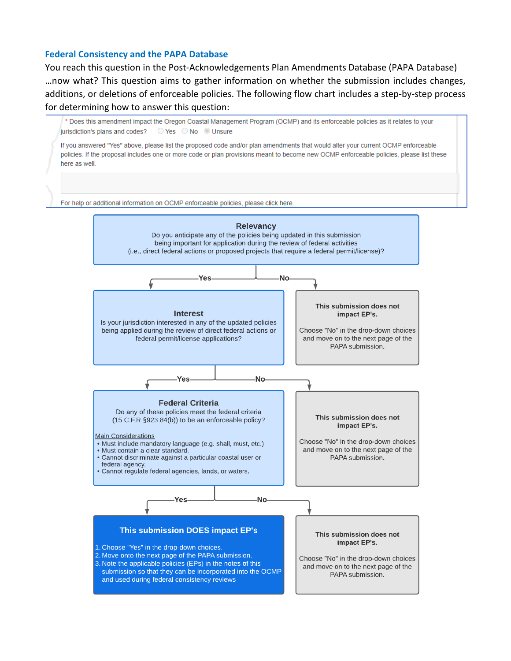#### **Federal Consistency and the PAPA Database**

You reach this question in the Post-Acknowledgements Plan Amendments Database (PAPA Database) …now what? This question aims to gather information on whether the submission includes changes, additions, or deletions of enforceable policies. The following flow chart includes a step-by-step process for determining how to answer this question: